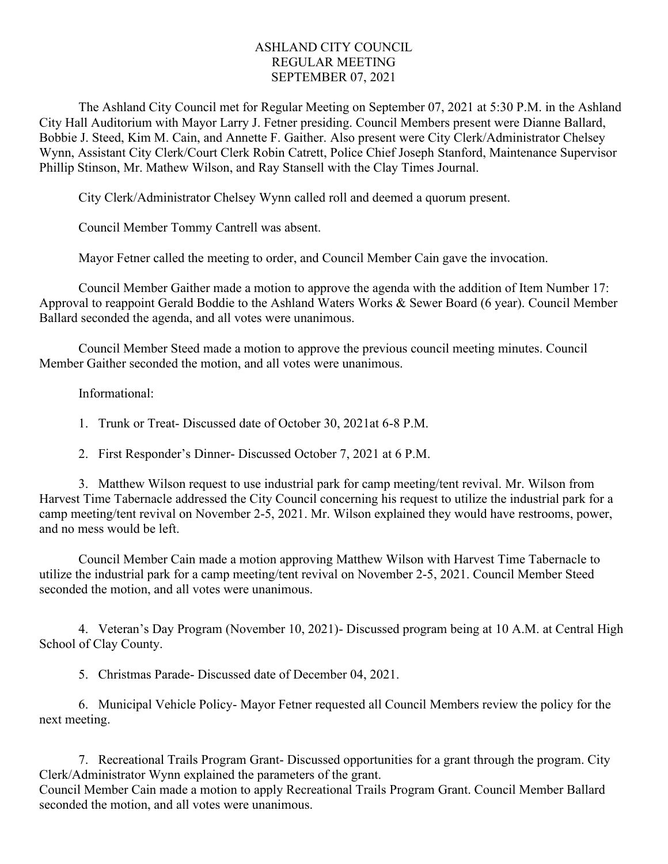## ASHLAND CITY COUNCIL REGULAR MEETING SEPTEMBER 07, 2021

The Ashland City Council met for Regular Meeting on September 07, 2021 at 5:30 P.M. in the Ashland City Hall Auditorium with Mayor Larry J. Fetner presiding. Council Members present were Dianne Ballard, Bobbie J. Steed, Kim M. Cain, and Annette F. Gaither. Also present were City Clerk/Administrator Chelsey Wynn, Assistant City Clerk/Court Clerk Robin Catrett, Police Chief Joseph Stanford, Maintenance Supervisor Phillip Stinson, Mr. Mathew Wilson, and Ray Stansell with the Clay Times Journal.

City Clerk/Administrator Chelsey Wynn called roll and deemed a quorum present.

Council Member Tommy Cantrell was absent.

Mayor Fetner called the meeting to order, and Council Member Cain gave the invocation.

Council Member Gaither made a motion to approve the agenda with the addition of Item Number 17: Approval to reappoint Gerald Boddie to the Ashland Waters Works & Sewer Board (6 year). Council Member Ballard seconded the agenda, and all votes were unanimous.

Council Member Steed made a motion to approve the previous council meeting minutes. Council Member Gaither seconded the motion, and all votes were unanimous.

Informational:

1. Trunk or Treat- Discussed date of October 30, 2021at 6-8 P.M.

2. First Responder's Dinner- Discussed October 7, 2021 at 6 P.M.

3. Matthew Wilson request to use industrial park for camp meeting/tent revival. Mr. Wilson from Harvest Time Tabernacle addressed the City Council concerning his request to utilize the industrial park for a camp meeting/tent revival on November 2-5, 2021. Mr. Wilson explained they would have restrooms, power, and no mess would be left.

Council Member Cain made a motion approving Matthew Wilson with Harvest Time Tabernacle to utilize the industrial park for a camp meeting/tent revival on November 2-5, 2021. Council Member Steed seconded the motion, and all votes were unanimous.

4. Veteran's Day Program (November 10, 2021)- Discussed program being at 10 A.M. at Central High School of Clay County.

5. Christmas Parade- Discussed date of December 04, 2021.

6. Municipal Vehicle Policy- Mayor Fetner requested all Council Members review the policy for the next meeting.

7. Recreational Trails Program Grant- Discussed opportunities for a grant through the program. City Clerk/Administrator Wynn explained the parameters of the grant.

Council Member Cain made a motion to apply Recreational Trails Program Grant. Council Member Ballard seconded the motion, and all votes were unanimous.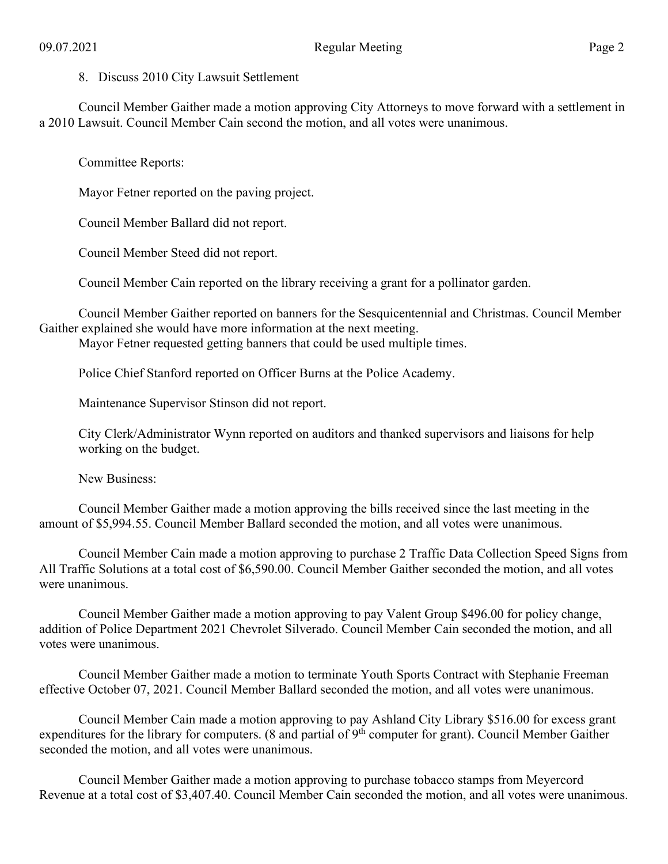8. Discuss 2010 City Lawsuit Settlement

Council Member Gaither made a motion approving City Attorneys to move forward with a settlement in a 2010 Lawsuit. Council Member Cain second the motion, and all votes were unanimous.

Committee Reports:

Mayor Fetner reported on the paving project.

Council Member Ballard did not report.

Council Member Steed did not report.

Council Member Cain reported on the library receiving a grant for a pollinator garden.

Council Member Gaither reported on banners for the Sesquicentennial and Christmas. Council Member Gaither explained she would have more information at the next meeting.

Mayor Fetner requested getting banners that could be used multiple times.

Police Chief Stanford reported on Officer Burns at the Police Academy.

Maintenance Supervisor Stinson did not report.

City Clerk/Administrator Wynn reported on auditors and thanked supervisors and liaisons for help working on the budget.

New Business:

Council Member Gaither made a motion approving the bills received since the last meeting in the amount of \$5,994.55. Council Member Ballard seconded the motion, and all votes were unanimous.

Council Member Cain made a motion approving to purchase 2 Traffic Data Collection Speed Signs from All Traffic Solutions at a total cost of \$6,590.00. Council Member Gaither seconded the motion, and all votes were unanimous.

Council Member Gaither made a motion approving to pay Valent Group \$496.00 for policy change, addition of Police Department 2021 Chevrolet Silverado. Council Member Cain seconded the motion, and all votes were unanimous.

Council Member Gaither made a motion to terminate Youth Sports Contract with Stephanie Freeman effective October 07, 2021. Council Member Ballard seconded the motion, and all votes were unanimous.

Council Member Cain made a motion approving to pay Ashland City Library \$516.00 for excess grant expenditures for the library for computers. (8 and partial of 9<sup>th</sup> computer for grant). Council Member Gaither seconded the motion, and all votes were unanimous.

Council Member Gaither made a motion approving to purchase tobacco stamps from Meyercord Revenue at a total cost of \$3,407.40. Council Member Cain seconded the motion, and all votes were unanimous.